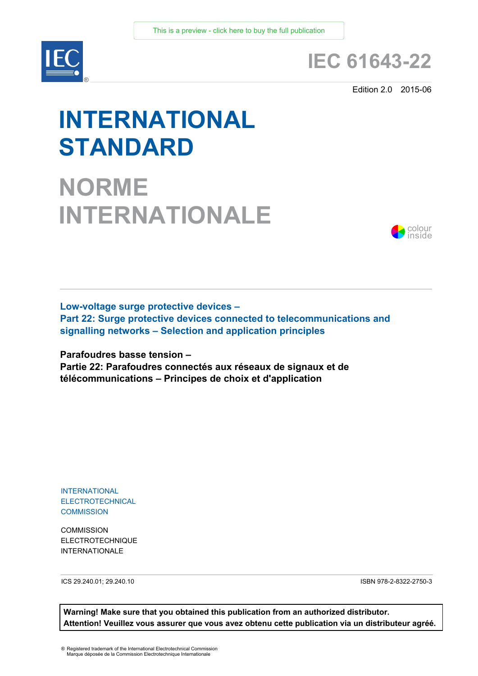

# **IEC 61643-22**

Edition 2.0 2015-06

# **INTERNATIONAL STANDARD**

**NORME INTERNATIONALE**



**Low-voltage surge protective devices – Part 22: Surge protective devices connected to telecommunications and signalling networks – Selection and application principles**

**Parafoudres basse tension – Partie 22: Parafoudres connectés aux réseaux de signaux et de télécommunications – Principes de choix et d'application**

INTERNATIONAL ELECTROTECHNICAL **COMMISSION** 

**COMMISSION** ELECTROTECHNIQUE INTERNATIONALE

ICS 29.240.01; 29.240.10 ISBN 978-2-8322-2750-3

**Warning! Make sure that you obtained this publication from an authorized distributor. Attention! Veuillez vous assurer que vous avez obtenu cette publication via un distributeur agréé.**

® Registered trademark of the International Electrotechnical Commission Marque déposée de la Commission Electrotechnique Internationale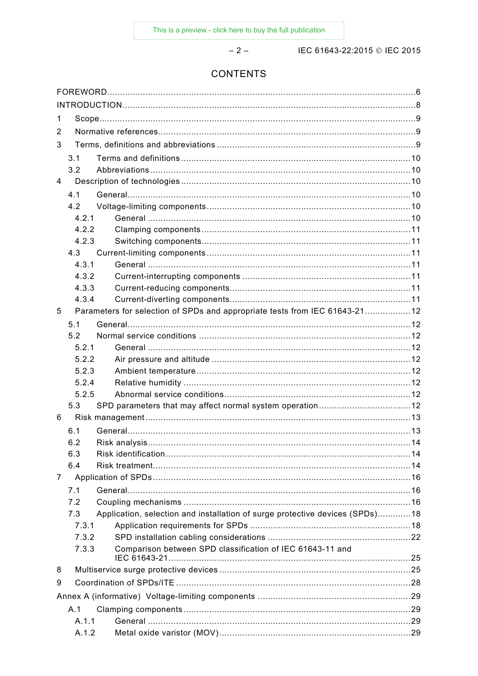$-2-$ 

IEC 61643-22:2015 © IEC 2015

# **CONTENTS**

| 1 |       |                                                                              |  |
|---|-------|------------------------------------------------------------------------------|--|
| 2 |       |                                                                              |  |
| 3 |       |                                                                              |  |
|   | 3.1   |                                                                              |  |
|   | 3.2   |                                                                              |  |
| 4 |       |                                                                              |  |
|   | 4.1   |                                                                              |  |
|   | 4.2   |                                                                              |  |
|   | 4.2.1 |                                                                              |  |
|   | 4.2.2 |                                                                              |  |
|   | 4.2.3 |                                                                              |  |
|   | 4.3   |                                                                              |  |
|   | 4.3.1 |                                                                              |  |
|   | 4.3.2 |                                                                              |  |
|   | 4.3.3 |                                                                              |  |
|   | 4.3.4 |                                                                              |  |
| 5 |       | Parameters for selection of SPDs and appropriate tests from IEC 61643-21 12  |  |
|   | 5.1   |                                                                              |  |
|   | 5.2   |                                                                              |  |
|   | 5.2.1 |                                                                              |  |
|   | 5.2.2 |                                                                              |  |
|   | 5.2.3 |                                                                              |  |
|   | 5.2.4 |                                                                              |  |
|   | 5.2.5 |                                                                              |  |
|   | 5.3   |                                                                              |  |
| 6 |       |                                                                              |  |
|   | 6.1   |                                                                              |  |
|   | 6.2   |                                                                              |  |
|   | 6.3   |                                                                              |  |
|   | 6.4   |                                                                              |  |
| 7 |       |                                                                              |  |
|   | 7.1   |                                                                              |  |
|   | 7.2   |                                                                              |  |
|   | 7.3   | Application, selection and installation of surge protective devices (SPDs)18 |  |
|   | 7.3.1 |                                                                              |  |
|   | 7.3.2 |                                                                              |  |
|   | 7.3.3 | Comparison between SPD classification of IEC 61643-11 and                    |  |
|   |       |                                                                              |  |
| 8 |       |                                                                              |  |
| 9 |       |                                                                              |  |
|   |       |                                                                              |  |
|   | A.1   |                                                                              |  |
|   | A.1.1 |                                                                              |  |
|   | A.1.2 |                                                                              |  |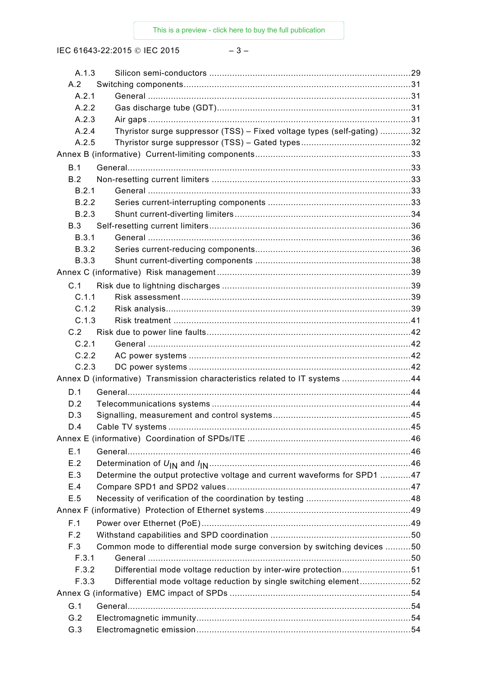IEC 61643-22:2015 © IEC 2015

# $-3-$

| A.1.3        |                                                                             |  |
|--------------|-----------------------------------------------------------------------------|--|
| A.2          |                                                                             |  |
| A.2.1        |                                                                             |  |
| A 2 2        |                                                                             |  |
| A.2.3        |                                                                             |  |
| A.2.4        | Thyristor surge suppressor (TSS) - Fixed voltage types (self-gating) 32     |  |
| A.2.5        |                                                                             |  |
|              |                                                                             |  |
| B.1          |                                                                             |  |
| B.2          |                                                                             |  |
| B.2.1        |                                                                             |  |
| B.2.2        |                                                                             |  |
| <b>B.2.3</b> |                                                                             |  |
| B.3          |                                                                             |  |
| B.3.1        |                                                                             |  |
| B.3.2        |                                                                             |  |
| <b>B.3.3</b> |                                                                             |  |
|              |                                                                             |  |
| C.1          |                                                                             |  |
| C.1.1        |                                                                             |  |
| C.1.2        |                                                                             |  |
| C.1.3        |                                                                             |  |
| C.2          |                                                                             |  |
| C.2.1        |                                                                             |  |
| C.2.2        |                                                                             |  |
| C.2.3        |                                                                             |  |
|              | Annex D (informative) Transmission characteristics related to IT systems 44 |  |
| D.1          |                                                                             |  |
| D.2          |                                                                             |  |
| D.3          |                                                                             |  |
| D.4          |                                                                             |  |
|              |                                                                             |  |
| E.1          |                                                                             |  |
| E.2          |                                                                             |  |
| E.3          | Determine the output protective voltage and current waveforms for SPD1 47   |  |
| E.4          |                                                                             |  |
| E.5          |                                                                             |  |
|              |                                                                             |  |
| F.1          |                                                                             |  |
| F.2          |                                                                             |  |
| F.3          | Common mode to differential mode surge conversion by switching devices 50   |  |
| F.3.1        |                                                                             |  |
| F.3.2        | Differential mode voltage reduction by inter-wire protection51              |  |
| F.3.3        | Differential mode voltage reduction by single switching element52           |  |
|              |                                                                             |  |
| G.1          |                                                                             |  |
| G.2          |                                                                             |  |
| G.3          |                                                                             |  |
|              |                                                                             |  |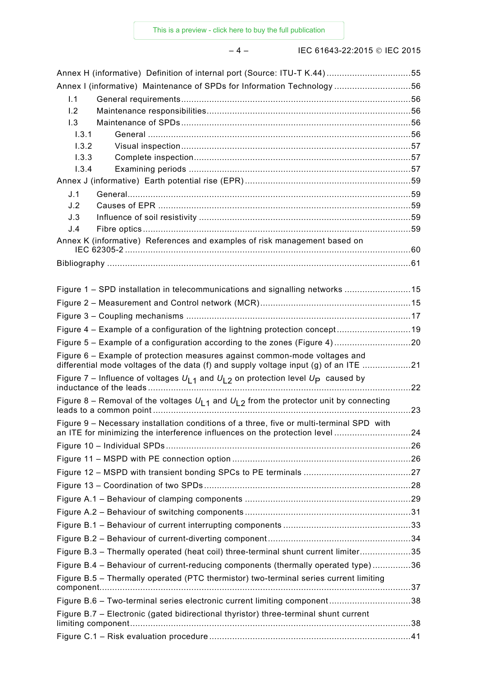– 4 – IEC 61643-22:2015 IEC 2015

| Annex I (informative) Maintenance of SPDs for Information Technology 56                        |  |
|------------------------------------------------------------------------------------------------|--|
| 1.1                                                                                            |  |
| 1.2                                                                                            |  |
| 1.3                                                                                            |  |
| 1.3.1                                                                                          |  |
| 1.3.2                                                                                          |  |
| 1.3.3                                                                                          |  |
| 1.3.4                                                                                          |  |
|                                                                                                |  |
| J.1                                                                                            |  |
| J.2                                                                                            |  |
| J.3                                                                                            |  |
| J.4                                                                                            |  |
| Annex K (informative) References and examples of risk management based on                      |  |
|                                                                                                |  |
|                                                                                                |  |
| Figure 1 – SPD installation in telecommunications and signalling networks 15                   |  |
|                                                                                                |  |
|                                                                                                |  |
| Figure 4 – Example of a configuration of the lightning protection concept 19                   |  |
| Figure 5 – Example of a configuration according to the zones (Figure 4) 20                     |  |
| Figure 6 – Example of protection measures against common-mode voltages and                     |  |
| differential mode voltages of the data (f) and supply voltage input (g) of an ITE 21           |  |
| Figure 7 – Influence of voltages $U_{1,1}$ and $U_{1,2}$ on protection level $U_P$ caused by   |  |
| Figure 8 – Removal of the voltages $U_{L1}$ and $U_{L2}$ from the protector unit by connecting |  |
| Figure 9 - Necessary installation conditions of a three, five or multi-terminal SPD with       |  |
| an ITE for minimizing the interference influences on the protection level 24                   |  |
|                                                                                                |  |
|                                                                                                |  |
|                                                                                                |  |
|                                                                                                |  |
|                                                                                                |  |
|                                                                                                |  |
|                                                                                                |  |
|                                                                                                |  |
| Figure B.3 - Thermally operated (heat coil) three-terminal shunt current limiter35             |  |
| Figure B.4 – Behaviour of current-reducing components (thermally operated type)36              |  |
| Figure B.5 - Thermally operated (PTC thermistor) two-terminal series current limiting          |  |
|                                                                                                |  |
| Figure B.6 - Two-terminal series electronic current limiting component38                       |  |
| Figure B.7 - Electronic (gated bidirectional thyristor) three-terminal shunt current           |  |
|                                                                                                |  |
|                                                                                                |  |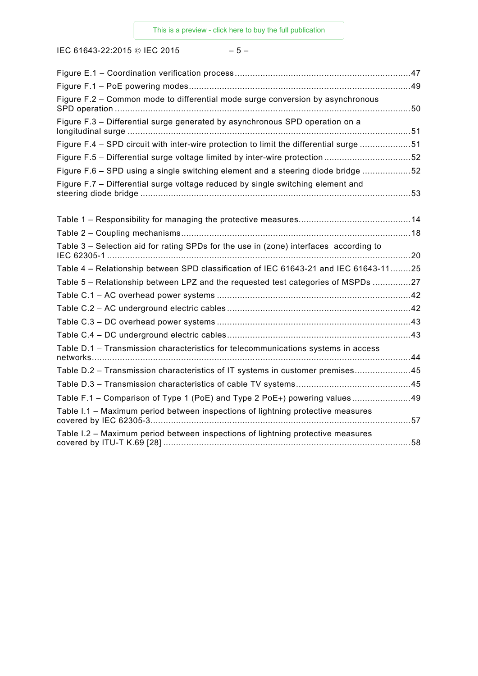IEC 61643-22:2015 © IEC 2015 – 5 –

| Figure F.2 - Common mode to differential mode surge conversion by asynchronous                       |  |
|------------------------------------------------------------------------------------------------------|--|
| Figure F.3 - Differential surge generated by asynchronous SPD operation on a                         |  |
| Figure F.4 - SPD circuit with inter-wire protection to limit the differential surge 51               |  |
| Figure F.5 - Differential surge voltage limited by inter-wire protection52                           |  |
| Figure F.6 – SPD using a single switching element and a steering diode bridge 52                     |  |
| Figure F.7 – Differential surge voltage reduced by single switching element and                      |  |
|                                                                                                      |  |
|                                                                                                      |  |
| Table 3 - Selection aid for rating SPDs for the use in (zone) interfaces according to<br>IEC 62305-1 |  |
| Table 4 - Relationship between SPD classification of IEC 61643-21 and IEC 61643-1125                 |  |
| Table 5 – Relationship between LPZ and the requested test categories of MSPDs 27                     |  |
|                                                                                                      |  |
|                                                                                                      |  |
|                                                                                                      |  |
|                                                                                                      |  |
| Table D.1 - Transmission characteristics for telecommunications systems in access                    |  |
| Table D.2 - Transmission characteristics of IT systems in customer premises45                        |  |
|                                                                                                      |  |
| Table F.1 - Comparison of Type 1 (PoE) and Type 2 PoE+) powering values49                            |  |
| Table I.1 - Maximum period between inspections of lightning protective measures                      |  |
| Table I.2 - Maximum period between inspections of lightning protective measures                      |  |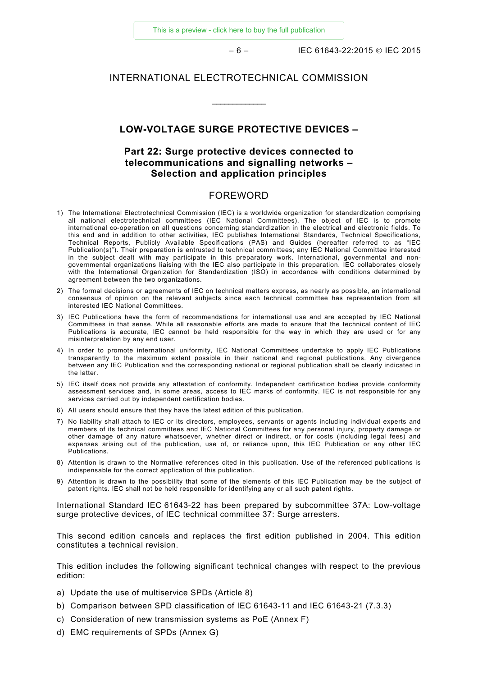[This is a preview - click here to buy the full publication](https://webstore.iec.ch/publication/22772&preview=1)

– 6 – IEC 61643-22:2015 IEC 2015

#### INTERNATIONAL ELECTROTECHNICAL COMMISSION

\_\_\_\_\_\_\_\_\_\_\_\_\_

# **LOW-VOLTAGE SURGE PROTECTIVE DEVICES –**

# **Part 22: Surge protective devices connected to telecommunications and signalling networks – Selection and application principles**

#### FOREWORD

- <span id="page-5-0"></span>1) The International Electrotechnical Commission (IEC) is a worldwide organization for standardization comprising all national electrotechnical committees (IEC National Committees). The object of IEC is to promote international co-operation on all questions concerning standardization in the electrical and electronic fields. To this end and in addition to other activities, IEC publishes International Standards, Technical Specifications, Technical Reports, Publicly Available Specifications (PAS) and Guides (hereafter referred to as "IEC Publication(s)"). Their preparation is entrusted to technical committees; any IEC National Committee interested in the subject dealt with may participate in this preparatory work. International, governmental and nongovernmental organizations liaising with the IEC also participate in this preparation. IEC collaborates closely with the International Organization for Standardization (ISO) in accordance with conditions determined by agreement between the two organizations.
- 2) The formal decisions or agreements of IEC on technical matters express, as nearly as possible, an international consensus of opinion on the relevant subjects since each technical committee has representation from all interested IEC National Committees.
- 3) IEC Publications have the form of recommendations for international use and are accepted by IEC National Committees in that sense. While all reasonable efforts are made to ensure that the technical content of IEC Publications is accurate, IEC cannot be held responsible for the way in which they are used or for any misinterpretation by any end user.
- 4) In order to promote international uniformity, IEC National Committees undertake to apply IEC Publications transparently to the maximum extent possible in their national and regional publications. Any divergence between any IEC Publication and the corresponding national or regional publication shall be clearly indicated in the latter.
- 5) IEC itself does not provide any attestation of conformity. Independent certification bodies provide conformity assessment services and, in some areas, access to IEC marks of conformity. IEC is not responsible for any services carried out by independent certification bodies.
- 6) All users should ensure that they have the latest edition of this publication.
- 7) No liability shall attach to IEC or its directors, employees, servants or agents including individual experts and members of its technical committees and IEC National Committees for any personal injury, property damage or other damage of any nature whatsoever, whether direct or indirect, or for costs (including legal fees) and expenses arising out of the publication, use of, or reliance upon, this IEC Publication or any other IEC Publications.
- 8) Attention is drawn to the Normative references cited in this publication. Use of the referenced publications is indispensable for the correct application of this publication.
- 9) Attention is drawn to the possibility that some of the elements of this IEC Publication may be the subject of patent rights. IEC shall not be held responsible for identifying any or all such patent rights.

International Standard IEC 61643-22 has been prepared by subcommittee 37A: Low-voltage surge protective devices, of IEC technical committee 37: Surge arresters.

This second edition cancels and replaces the first edition published in 2004. This edition constitutes a technical revision.

This edition includes the following significant technical changes with respect to the previous edition:

- a) Update the use of multiservice SPDs (Article 8)
- b) Comparison between SPD classification of IEC 61643-11 and IEC 61643-21 (7.3.3)
- c) Consideration of new transmission systems as PoE (Annex F)
- d) EMC requirements of SPDs (Annex G)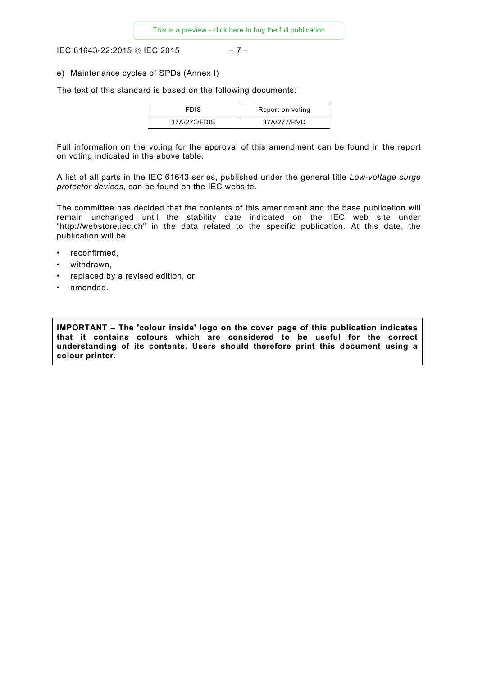IEC 61643-22:2015 © IEC 2015 – 7 –

# e) Maintenance cycles of SPDs (Annex I)

The text of this standard is based on the following documents:

| <b>FDIS</b>  | Report on voting |
|--------------|------------------|
| 37A/273/FDIS | 37A/277/RVD      |

Full information on the voting for the approval of this amendment can be found in the report on voting indicated in the above table.

A list of all parts in the IEC 61643 series, published under the general title *Low-voltage surge protector devices*, can be found on the IEC website.

The committee has decided that the contents of this amendment and the base publication will remain unchanged until the stability date indicated on the IEC web site under "http://webstore.iec.ch" in the data related to the specific publication. At this date, the publication will be

- reconfirmed,
- withdrawn,
- replaced by a revised edition, or
- amended.

**IMPORTANT – The 'colour inside' logo on the cover page of this publication indicates that it contains colours which are considered to be useful for the correct understanding of its contents. Users should therefore print this document using a colour printer.**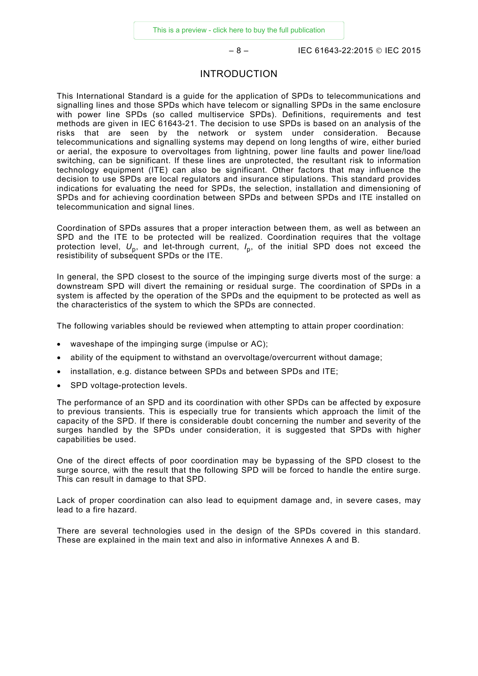$-8 -$  IEC 61643-22:2015 © IEC 2015

#### INTRODUCTION

<span id="page-7-0"></span>This International Standard is a guide for the application of SPDs to telecommunications and signalling lines and those SPDs which have telecom or signalling SPDs in the same enclosure with power line SPDs (so called multiservice SPDs). Definitions, requirements and test methods are given in IEC 61643-21. The decision to use SPDs is based on an analysis of the risks that are seen by the network or system under consideration. Because telecommunications and signalling systems may depend on long lengths of wire, either buried or aerial, the exposure to overvoltages from lightning, power line faults and power line/load switching, can be significant. If these lines are unprotected, the resultant risk to information technology equipment (ITE) can also be significant. Other factors that may influence the decision to use SPDs are local regulators and insurance stipulations. This standard provides indications for evaluating the need for SPDs, the selection, installation and dimensioning of SPDs and for achieving coordination between SPDs and between SPDs and ITE installed on telecommunication and signal lines.

Coordination of SPDs assures that a proper interaction between them, as well as between an SPD and the ITE to be protected will be realized. Coordination requires that the voltage protection level,  $U_p$ , and let-through current,  $I_p$ , of the initial SPD does not exceed the resistibility of subsequent SPDs or the ITE.

In general, the SPD closest to the source of the impinging surge diverts most of the surge: a downstream SPD will divert the remaining or residual surge. The coordination of SPDs in a system is affected by the operation of the SPDs and the equipment to be protected as well as the characteristics of the system to which the SPDs are connected.

The following variables should be reviewed when attempting to attain proper coordination:

- waveshape of the impinging surge (impulse or AC);
- ability of the equipment to withstand an overvoltage/overcurrent without damage;
- installation, e.g. distance between SPDs and between SPDs and ITE;
- SPD voltage-protection levels.

The performance of an SPD and its coordination with other SPDs can be affected by exposure to previous transients. This is especially true for transients which approach the limit of the capacity of the SPD. If there is considerable doubt concerning the number and severity of the surges handled by the SPDs under consideration, it is suggested that SPDs with higher capabilities be used.

One of the direct effects of poor coordination may be bypassing of the SPD closest to the surge source, with the result that the following SPD will be forced to handle the entire surge. This can result in damage to that SPD.

Lack of proper coordination can also lead to equipment damage and, in severe cases, may lead to a fire hazard.

There are several technologies used in the design of the SPDs covered in this standard. These are explained in the main text and also in informative Annexes A and B.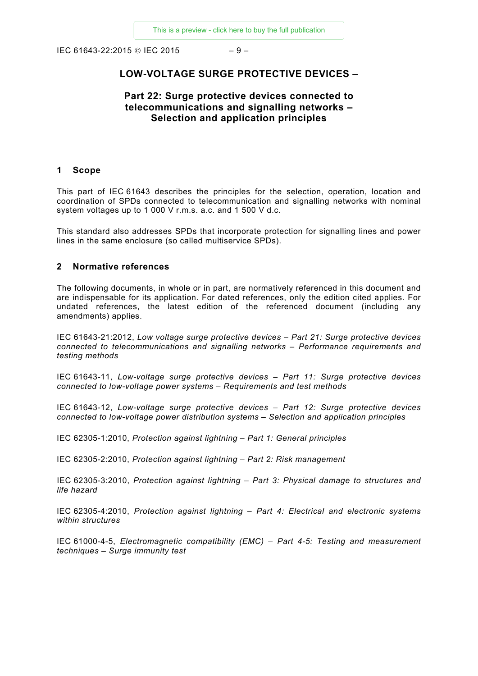IFC 61643-22:2015 © IFC 2015 – 9 –

# **LOW-VOLTAGE SURGE PROTECTIVE DEVICES –**

# **Part 22: Surge protective devices connected to telecommunications and signalling networks – Selection and application principles**

#### <span id="page-8-0"></span>**1 Scope**

This part of IEC 61643 describes the principles for the selection, operation, location and coordination of SPDs connected to telecommunication and signalling networks with nominal system voltages up to 1 000 V r.m.s. a.c. and 1 500 V d.c.

This standard also addresses SPDs that incorporate protection for signalling lines and power lines in the same enclosure (so called multiservice SPDs).

#### <span id="page-8-1"></span>**2 Normative references**

The following documents, in whole or in part, are normatively referenced in this document and are indispensable for its application. For dated references, only the edition cited applies. For undated references, the latest edition of the referenced document (including any amendments) applies.

IEC 61643-21:2012, *Low voltage surge protective devices – Part 21: Surge protective devices connected to telecommunications and signalling networks – Performance requirements and testing methods*

IEC 61643-11, *Low-voltage surge protective devices – Part 11: Surge protective devices connected to low-voltage power systems – Requirements and test methods*

IEC 61643-12, *Low-voltage surge protective devices – Part 12: Surge protective devices connected to low-voltage power distribution systems – Selection and application principles*

IEC 62305-1:2010, *Protection against lightning – Part 1: General principles*

IEC 62305-2:2010, *Protection against lightning – Part 2: Risk management*

IEC 62305-3:2010, *Protection against lightning – Part 3: Physical damage to structures and life hazard*

IEC 62305-4:2010, *Protection against lightning – Part 4: Electrical and electronic systems within structures*

<span id="page-8-2"></span>IEC 61000-4-5, *Electromagnetic compatibility (EMC) – Part 4-5: Testing and measurement techniques – Surge immunity test*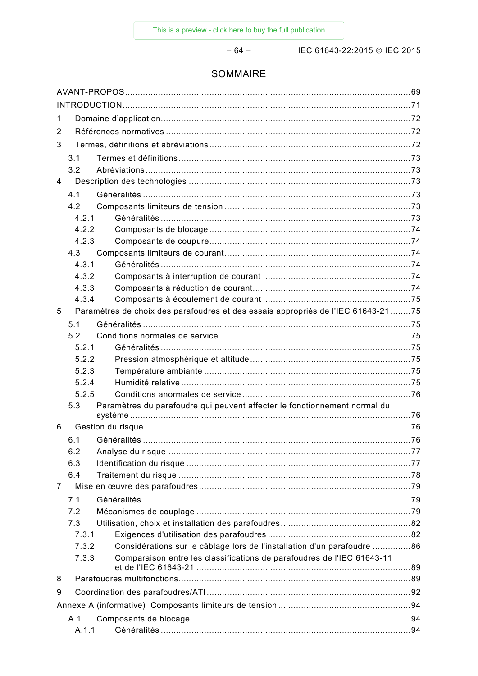$-64-$ 

IEC 61643-22:2015 © IEC 2015

# SOMMAIRE

| 1 |       |                                                                                   |  |
|---|-------|-----------------------------------------------------------------------------------|--|
| 2 |       |                                                                                   |  |
| 3 |       |                                                                                   |  |
|   | 3.1   |                                                                                   |  |
|   | 3.2   |                                                                                   |  |
| 4 |       |                                                                                   |  |
|   | 4.1   |                                                                                   |  |
|   | 4.2   |                                                                                   |  |
|   | 4.2.1 |                                                                                   |  |
|   | 4.2.2 |                                                                                   |  |
|   | 4.2.3 |                                                                                   |  |
|   | 4.3   |                                                                                   |  |
|   | 4.3.1 |                                                                                   |  |
|   | 4.3.2 |                                                                                   |  |
|   | 4.3.3 |                                                                                   |  |
|   | 4.3.4 |                                                                                   |  |
| 5 |       | Paramètres de choix des parafoudres et des essais appropriés de l'IEC 61643-21 75 |  |
|   | 5.1   |                                                                                   |  |
|   | 5.2   |                                                                                   |  |
|   | 5.2.1 |                                                                                   |  |
|   | 5.2.2 |                                                                                   |  |
|   | 5.2.3 |                                                                                   |  |
|   | 5.2.4 |                                                                                   |  |
|   | 5.2.5 |                                                                                   |  |
|   | 5.3   | Paramètres du parafoudre qui peuvent affecter le fonctionnement normal du         |  |
| 6 |       |                                                                                   |  |
|   | 6.1   |                                                                                   |  |
|   | 6.2   |                                                                                   |  |
|   | 6.3   |                                                                                   |  |
|   | 6.4   |                                                                                   |  |
| 7 |       |                                                                                   |  |
|   | 7.1   |                                                                                   |  |
|   | 7.2   |                                                                                   |  |
|   | 7.3   |                                                                                   |  |
|   | 7.3.1 |                                                                                   |  |
|   | 7.3.2 | Considérations sur le câblage lors de l'installation d'un parafoudre 86           |  |
|   | 7.3.3 | Comparaison entre les classifications de parafoudres de l'IEC 61643-11            |  |
|   |       |                                                                                   |  |
| 8 |       |                                                                                   |  |
| 9 |       |                                                                                   |  |
|   |       |                                                                                   |  |
|   | A.1   |                                                                                   |  |
|   | A.1.1 |                                                                                   |  |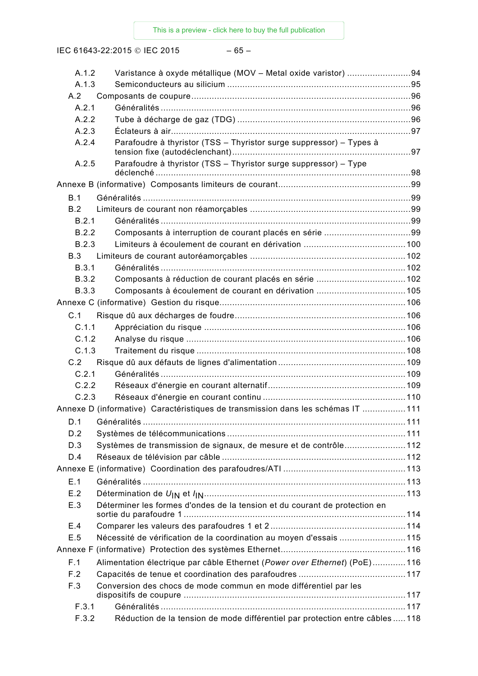IEC 61643-22:2015 © IEC 2015 – 65 –

| A.1.2        | Varistance à oxyde métallique (MOV - Metal oxide varistor) 94                   |  |
|--------------|---------------------------------------------------------------------------------|--|
| A.1.3        |                                                                                 |  |
| A.2<br>A.2.1 |                                                                                 |  |
| A.2.2        |                                                                                 |  |
| A.2.3        |                                                                                 |  |
| A.2.4        | Parafoudre à thyristor (TSS - Thyristor surge suppressor) - Types à             |  |
|              |                                                                                 |  |
| A.2.5        | Parafoudre à thyristor (TSS - Thyristor surge suppressor) - Type                |  |
|              |                                                                                 |  |
| B.1          |                                                                                 |  |
| B.2          |                                                                                 |  |
| B.2.1        |                                                                                 |  |
| B.2.2        |                                                                                 |  |
| B.2.3        |                                                                                 |  |
| B.3          |                                                                                 |  |
| B.3.1        |                                                                                 |  |
| <b>B.3.2</b> |                                                                                 |  |
| <b>B.3.3</b> |                                                                                 |  |
|              |                                                                                 |  |
| C.1          |                                                                                 |  |
| C.1.1        |                                                                                 |  |
| C.1.2        |                                                                                 |  |
| C.1.3        |                                                                                 |  |
| C.2          |                                                                                 |  |
| C.2.1        |                                                                                 |  |
| C.2.2        |                                                                                 |  |
| C.2.3        |                                                                                 |  |
|              | Annexe D (informative) Caractéristiques de transmission dans les schémas IT 111 |  |
| D.1          |                                                                                 |  |
| D.2          |                                                                                 |  |
| D.3          | Systèmes de transmission de signaux, de mesure et de contrôle112                |  |
| D.4          |                                                                                 |  |
|              |                                                                                 |  |
| E.1          |                                                                                 |  |
| E.2          |                                                                                 |  |
| E.3          | Déterminer les formes d'ondes de la tension et du courant de protection en      |  |
| E.4          |                                                                                 |  |
| E.5          | Nécessité de vérification de la coordination au moyen d'essais 115              |  |
|              |                                                                                 |  |
| F.1          | Alimentation électrique par câble Ethernet (Power over Ethernet) (PoE)116       |  |
| F.2          |                                                                                 |  |
| F.3          | Conversion des chocs de mode commun en mode différentiel par les                |  |
| F.3.1        |                                                                                 |  |
| F.3.2        | Réduction de la tension de mode différentiel par protection entre câbles 118    |  |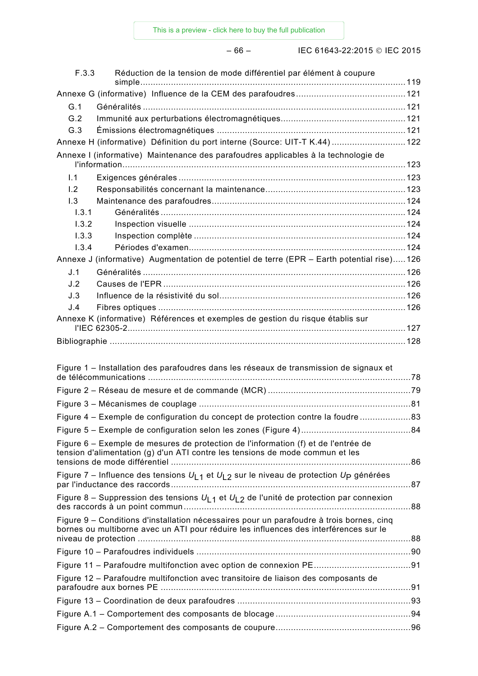– 66 – IEC 61643-22:2015 IEC 2015

| F.3.3            | Réduction de la tension de mode différentiel par élément à coupure                                                                                                                |  |
|------------------|-----------------------------------------------------------------------------------------------------------------------------------------------------------------------------------|--|
|                  |                                                                                                                                                                                   |  |
| G.1              |                                                                                                                                                                                   |  |
| G.2              |                                                                                                                                                                                   |  |
| G.3              |                                                                                                                                                                                   |  |
|                  | Annexe H (informative) Définition du port interne (Source: UIT-T K.44)  122                                                                                                       |  |
|                  | Annexe I (informative) Maintenance des parafoudres applicables à la technologie de                                                                                                |  |
| 1.1              |                                                                                                                                                                                   |  |
| $\overline{1.2}$ |                                                                                                                                                                                   |  |
| 1.3              |                                                                                                                                                                                   |  |
| 1.3.1            |                                                                                                                                                                                   |  |
| 1.3.2            |                                                                                                                                                                                   |  |
| 1.3.3            |                                                                                                                                                                                   |  |
| 1.3.4            |                                                                                                                                                                                   |  |
|                  | Annexe J (informative) Augmentation de potentiel de terre (EPR - Earth potential rise)126                                                                                         |  |
| J.1              |                                                                                                                                                                                   |  |
| J.2              |                                                                                                                                                                                   |  |
| J.3              |                                                                                                                                                                                   |  |
| J.4              |                                                                                                                                                                                   |  |
|                  | Annexe K (informative) Références et exemples de gestion du risque établis sur                                                                                                    |  |
|                  |                                                                                                                                                                                   |  |
|                  |                                                                                                                                                                                   |  |
|                  | Figure 1 – Installation des parafoudres dans les réseaux de transmission de signaux et                                                                                            |  |
|                  |                                                                                                                                                                                   |  |
|                  |                                                                                                                                                                                   |  |
|                  | Figure 4 – Exemple de configuration du concept de protection contre la foudre  83                                                                                                 |  |
|                  | Figure 6 - Exemple de mesures de protection de l'information (f) et de l'entrée de<br>tension d'alimentation (g) d'un ATI contre les tensions de mode commun et les               |  |
|                  | Figure 7 – Influence des tensions $U_{L1}$ et $U_{L2}$ sur le niveau de protection $U_P$ générées                                                                                 |  |
|                  | Figure 8 – Suppression des tensions $U_{L1}$ et $U_{L2}$ de l'unité de protection par connexion                                                                                   |  |
|                  | Figure 9 - Conditions d'installation nécessaires pour un parafoudre à trois bornes, cinq<br>bornes ou multiborne avec un ATI pour réduire les influences des interférences sur le |  |
|                  |                                                                                                                                                                                   |  |
|                  |                                                                                                                                                                                   |  |
|                  | Figure 12 – Parafoudre multifonction avec transitoire de liaison des composants de                                                                                                |  |
|                  |                                                                                                                                                                                   |  |
|                  |                                                                                                                                                                                   |  |
|                  |                                                                                                                                                                                   |  |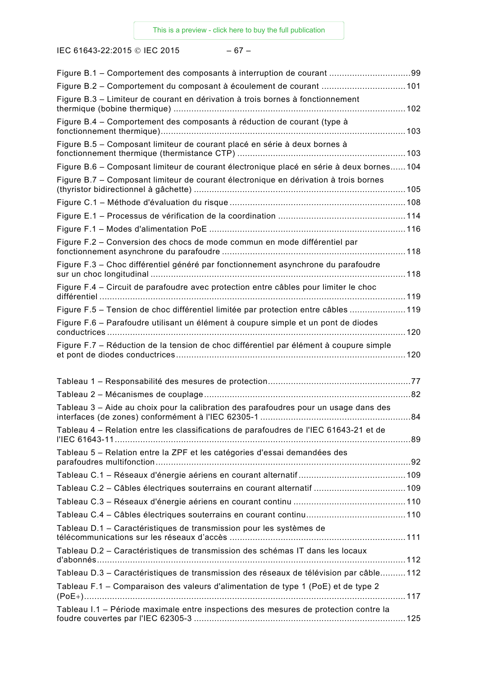IEC 61643-22:2015 © IEC 2015 - 67 -

| Figure B.1 – Comportement des composants à interruption de courant 99                   |  |
|-----------------------------------------------------------------------------------------|--|
| Figure B.2 - Comportement du composant à écoulement de courant 101                      |  |
| Figure B.3 - Limiteur de courant en dérivation à trois bornes à fonctionnement          |  |
| Figure B.4 - Comportement des composants à réduction de courant (type à                 |  |
| Figure B.5 - Composant limiteur de courant placé en série à deux bornes à               |  |
| Figure B.6 - Composant limiteur de courant électronique placé en série à deux bornes104 |  |
| Figure B.7 - Composant limiteur de courant électronique en dérivation à trois bornes    |  |
|                                                                                         |  |
|                                                                                         |  |
|                                                                                         |  |
| Figure F.2 - Conversion des chocs de mode commun en mode différentiel par               |  |
| Figure F.3 - Choc différentiel généré par fonctionnement asynchrone du parafoudre       |  |
| Figure F.4 – Circuit de parafoudre avec protection entre câbles pour limiter le choc    |  |
| Figure F.5 - Tension de choc différentiel limitée par protection entre câbles 119       |  |
| Figure F.6 - Parafoudre utilisant un élément à coupure simple et un pont de diodes      |  |
| Figure F.7 - Réduction de la tension de choc différentiel par élément à coupure simple  |  |
|                                                                                         |  |
|                                                                                         |  |
| Tableau 3 - Aide au choix pour la calibration des parafoudres pour un usage dans des    |  |
|                                                                                         |  |
| Tableau 4 – Relation entre les classifications de parafoudres de l'IEC 61643-21 et de   |  |
| Tableau 5 - Relation entre la ZPF et les catégories d'essai demandées des               |  |
|                                                                                         |  |
|                                                                                         |  |
|                                                                                         |  |
|                                                                                         |  |
| Tableau D.1 - Caractéristiques de transmission pour les systèmes de                     |  |
| Tableau D.2 - Caractéristiques de transmission des schémas IT dans les locaux           |  |
| Tableau D.3 – Caractéristiques de transmission des réseaux de télévision par câble112   |  |
| Tableau F.1 - Comparaison des valeurs d'alimentation de type 1 (PoE) et de type 2       |  |
| Tableau I.1 – Période maximale entre inspections des mesures de protection contre la    |  |
|                                                                                         |  |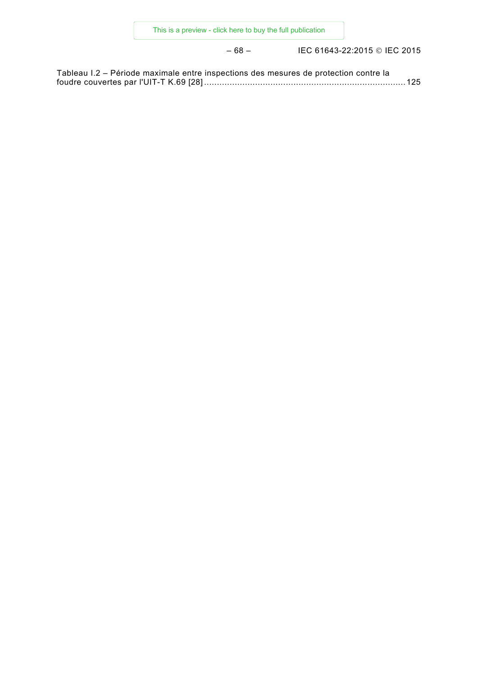[This is a preview - click here to buy the full publication](https://webstore.iec.ch/publication/22772&preview=1)

– 68 – IEC 61643-22:2015 IEC 2015

| Tableau I.2 – Période maximale entre inspections des mesures de protection contre la |  |
|--------------------------------------------------------------------------------------|--|
|                                                                                      |  |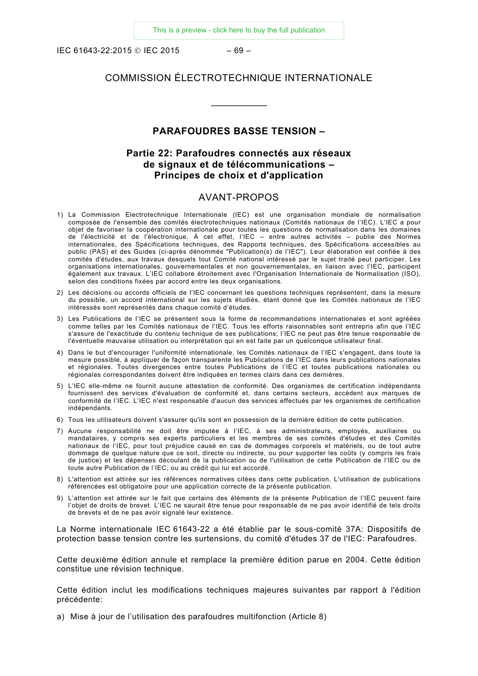IEC 61643-22:2015 © IEC 2015 – 69 –

# COMMISSION ÉLECTROTECHNIQUE INTERNATIONALE

\_\_\_\_\_\_\_\_\_\_\_

#### **PARAFOUDRES BASSE TENSION –**

# **Partie 22: Parafoudres connectés aux réseaux de signaux et de télécommunications – Principes de choix et d'application**

#### AVANT-PROPOS

- <span id="page-14-0"></span>1) La Commission Electrotechnique Internationale (IEC) est une organisation mondiale de normalisation composée de l'ensemble des comités électrotechniques nationaux (Comités nationaux de l'IEC). L'IEC a pour objet de favoriser la coopération internationale pour toutes les questions de normalisation dans les domaines de l'électricité et de l'électronique. À cet effet, l'IEC – entre autres activités – publie des Normes internationales, des Spécifications techniques, des Rapports techniques, des Spécifications accessibles au public (PAS) et des Guides (ci-après dénommés "Publication(s) de l'IEC"). Leur élaboration est confiée à des comités d'études, aux travaux desquels tout Comité national intéressé par le sujet traité peut participer. Les organisations internationales, gouvernementales et non gouvernementales, en liaison avec l'IEC, participent également aux travaux. L'IEC collabore étroitement avec l'Organisation Internationale de Normalisation (ISO), selon des conditions fixées par accord entre les deux organisations.
- 2) Les décisions ou accords officiels de l'IEC concernant les questions techniques représentent, dans la mesure du possible, un accord international sur les sujets étudiés, étant donné que les Comités nationaux de l'IEC intéressés sont représentés dans chaque comité d'études.
- 3) Les Publications de l'IEC se présentent sous la forme de recommandations internationales et sont agréées comme telles par les Comités nationaux de l'IEC. Tous les efforts raisonnables sont entrepris afin que l'IEC s'assure de l'exactitude du contenu technique de ses publications; l'IEC ne peut pas être tenue responsable de l'éventuelle mauvaise utilisation ou interprétation qui en est faite par un quelconque utilisateur final.
- 4) Dans le but d'encourager l'uniformité internationale, les Comités nationaux de l'IEC s'engagent, dans toute la mesure possible, à appliquer de façon transparente les Publications de l'IEC dans leurs publications nationales et régionales. Toutes divergences entre toutes Publications de l'IEC et toutes publications nationales ou régionales correspondantes doivent être indiquées en termes clairs dans ces dernières.
- 5) L'IEC elle-même ne fournit aucune attestation de conformité. Des organismes de certification indépendants fournissent des services d'évaluation de conformité et, dans certains secteurs, accèdent aux marques de conformité de l'IEC. L'IEC n'est responsable d'aucun des services effectués par les organismes de certification indépendants.
- 6) Tous les utilisateurs doivent s'assurer qu'ils sont en possession de la dernière édition de cette publication.
- 7) Aucune responsabilité ne doit être imputée à l'IEC, à ses administrateurs, employés, auxiliaires ou mandataires, y compris ses experts particuliers et les membres de ses comités d'études et des Comités nationaux de l'IEC, pour tout préjudice causé en cas de dommages corporels et matériels, ou de tout autre dommage de quelque nature que ce soit, directe ou indirecte, ou pour supporter les coûts (y compris les frais de justice) et les dépenses découlant de la publication ou de l'utilisation de cette Publication de l'IEC ou de toute autre Publication de l'IEC, ou au crédit qui lui est accordé.
- 8) L'attention est attirée sur les références normatives citées dans cette publication. L'utilisation de publications référencées est obligatoire pour une application correcte de la présente publication.
- 9) L'attention est attirée sur le fait que certains des éléments de la présente Publication de l'IEC peuvent faire l'objet de droits de brevet. L'IEC ne saurait être tenue pour responsable de ne pas avoir identifié de tels droits de brevets et de ne pas avoir signalé leur existence.

La Norme internationale IEC 61643-22 a été établie par le sous-comité 37A: Dispositifs de protection basse tension contre les surtensions, du comité d'études 37 de l'IEC: Parafoudres.

Cette deuxième édition annule et remplace la première édition parue en 2004. Cette édition constitue une révision technique.

Cette édition inclut les modifications techniques majeures suivantes par rapport à l'édition précédente:

a) Mise à jour de l'utilisation des parafoudres multifonction (Article 8)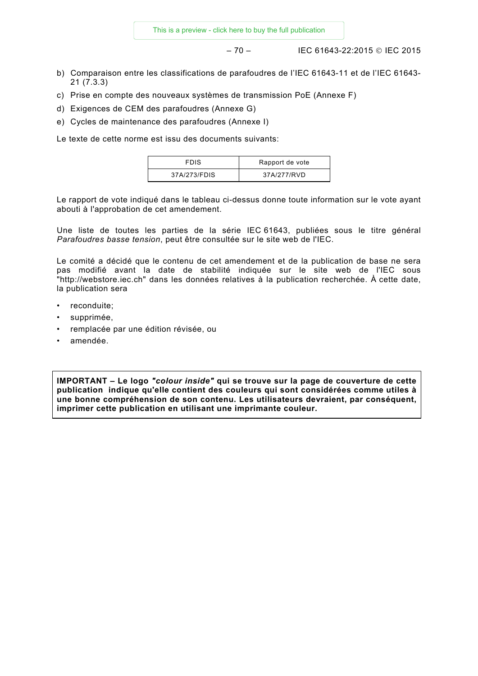[This is a preview - click here to buy the full publication](https://webstore.iec.ch/publication/22772&preview=1)

 $-70 -$  IEC 61643-22:2015 © IEC 2015

- b) Comparaison entre les classifications de parafoudres de l'IEC 61643-11 et de l'IEC 61643- 21 (7.3.3)
- c) Prise en compte des nouveaux systèmes de transmission PoE (Annexe F)
- d) Exigences de CEM des parafoudres (Annexe G)
- e) Cycles de maintenance des parafoudres (Annexe I)

Le texte de cette norme est issu des documents suivants:

| <b>FDIS</b>  | Rapport de vote |
|--------------|-----------------|
| 37A/273/FDIS | 37A/277/RVD     |

Le rapport de vote indiqué dans le tableau ci-dessus donne toute information sur le vote ayant abouti à l'approbation de cet amendement.

Une liste de toutes les parties de la série IEC 61643, publiées sous le titre général *Parafoudres basse tension*, peut être consultée sur le site web de l'IEC.

Le comité a décidé que le contenu de cet amendement et de la publication de base ne sera pas modifié avant la date de stabilité indiquée sur le site web de l'IEC sous "http://webstore.iec.ch" dans les données relatives à la publication recherchée. À cette date, la publication sera

- reconduite;
- supprimée,
- remplacée par une édition révisée, ou
- amendée.

**IMPORTANT – Le logo** *"colour inside"* **qui se trouve sur la page de couverture de cette publication indique qu'elle contient des couleurs qui sont considérées comme utiles à une bonne compréhension de son contenu. Les utilisateurs devraient, par conséquent, imprimer cette publication en utilisant une imprimante couleur.**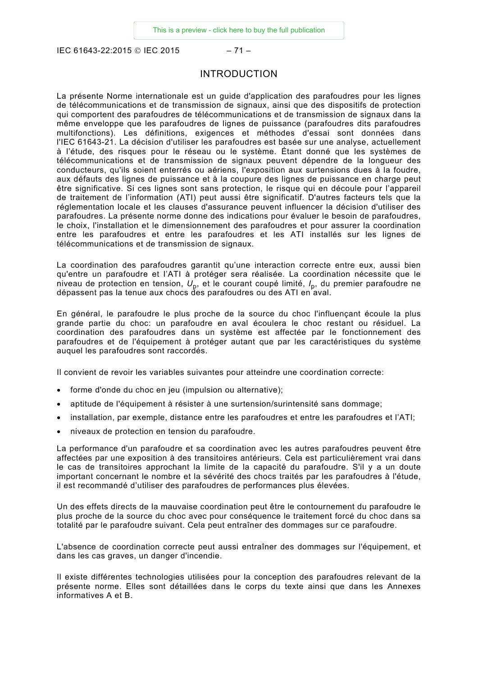<span id="page-16-0"></span>IEC 61643-22:2015 © IEC 2015 – 71 –

# INTRODUCTION

La présente Norme internationale est un guide d'application des parafoudres pour les lignes de télécommunications et de transmission de signaux, ainsi que des dispositifs de protection qui comportent des parafoudres de télécommunications et de transmission de signaux dans la même enveloppe que les parafoudres de lignes de puissance (parafoudres dits parafoudres multifonctions). Les définitions, exigences et méthodes d'essai sont données dans l'IEC 61643-21. La décision d'utiliser les parafoudres est basée sur une analyse, actuellement à l'étude, des risques pour le réseau ou le système. Étant donné que les systèmes de télécommunications et de transmission de signaux peuvent dépendre de la longueur des conducteurs, qu'ils soient enterrés ou aériens, l'exposition aux surtensions dues à la foudre, aux défauts des lignes de puissance et à la coupure des lignes de puissance en charge peut être significative. Si ces lignes sont sans protection, le risque qui en découle pour l'appareil de traitement de l'information (ATI) peut aussi être significatif. D'autres facteurs tels que la réglementation locale et les clauses d'assurance peuvent influencer la décision d'utiliser des parafoudres. La présente norme donne des indications pour évaluer le besoin de parafoudres, le choix, l'installation et le dimensionnement des parafoudres et pour assurer la coordination entre les parafoudres et entre les parafoudres et les ATI installés sur les lignes de télécommunications et de transmission de signaux.

La coordination des parafoudres garantit qu'une interaction correcte entre eux, aussi bien qu'entre un parafoudre et l'ATI à protéger sera réalisée. La coordination nécessite que le niveau de protection en tension, *U*p, et le courant coupé limité, *I*p, du premier parafoudre ne dépassent pas la tenue aux chocs des parafoudres ou des ATI en aval.

En général, le parafoudre le plus proche de la source du choc l'influençant écoule la plus grande partie du choc: un parafoudre en aval écoulera le choc restant ou résiduel. La coordination des parafoudres dans un système est affectée par le fonctionnement des parafoudres et de l'équipement à protéger autant que par les caractéristiques du système auquel les parafoudres sont raccordés.

Il convient de revoir les variables suivantes pour atteindre une coordination correcte:

- forme d'onde du choc en jeu (impulsion ou alternative);
- aptitude de l'équipement à résister à une surtension/surintensité sans dommage;
- installation, par exemple, distance entre les parafoudres et entre les parafoudres et l'ATI;
- niveaux de protection en tension du parafoudre.

La performance d'un parafoudre et sa coordination avec les autres parafoudres peuvent être affectées par une exposition à des transitoires antérieurs. Cela est particulièrement vrai dans le cas de transitoires approchant la limite de la capacité du parafoudre. S'il y a un doute important concernant le nombre et la sévérité des chocs traités par les parafoudres à l'étude, il est recommandé d'utiliser des parafoudres de performances plus élevées.

Un des effets directs de la mauvaise coordination peut être le contournement du parafoudre le plus proche de la source du choc avec pour conséquence le traitement forcé du choc dans sa totalité par le parafoudre suivant. Cela peut entraîner des dommages sur ce parafoudre.

L'absence de coordination correcte peut aussi entraîner des dommages sur l'équipement, et dans les cas graves, un danger d'incendie.

Il existe différentes technologies utilisées pour la conception des parafoudres relevant de la présente norme. Elles sont détaillées dans le corps du texte ainsi que dans les Annexes informatives A et B.